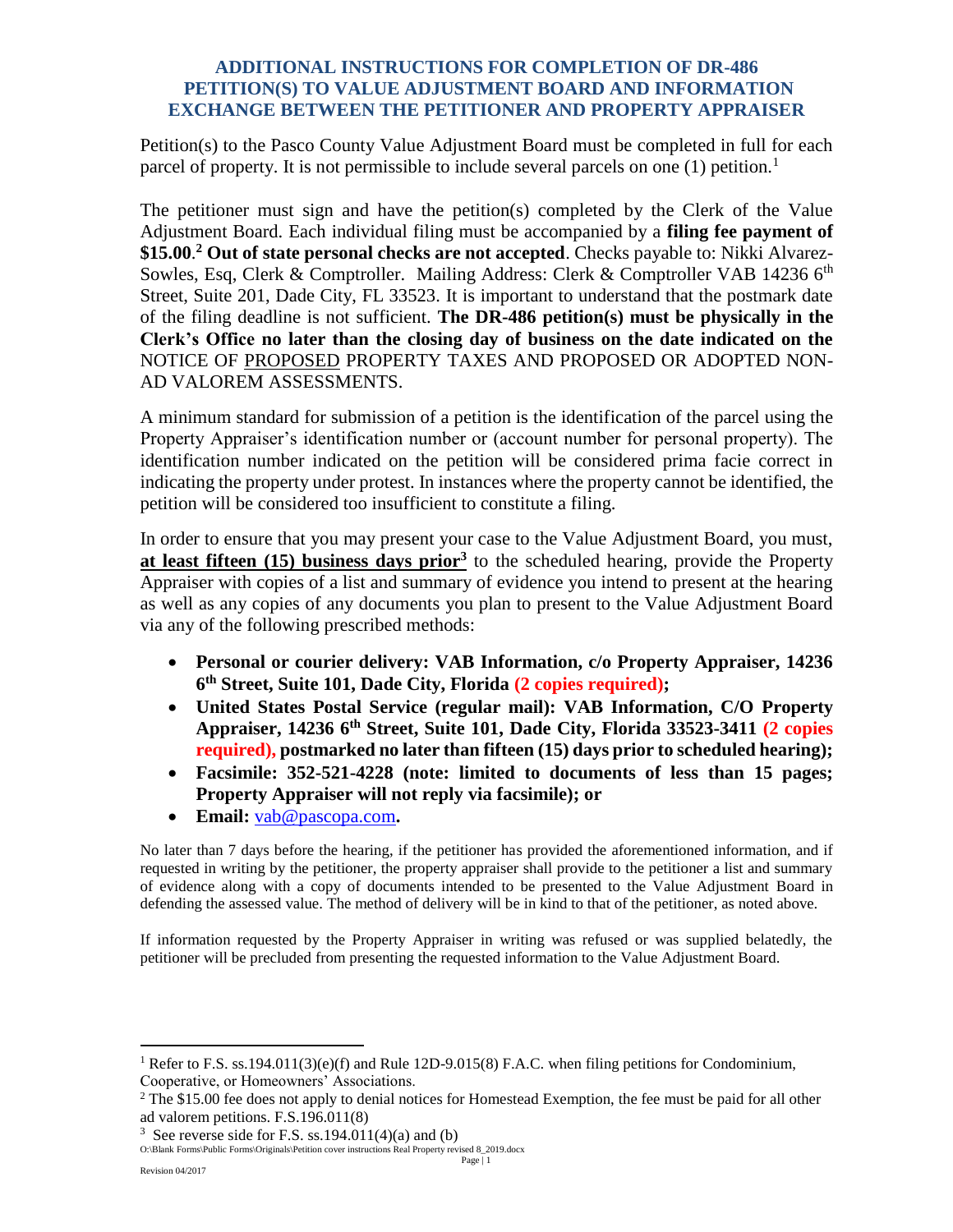## **ADDITIONAL INSTRUCTIONS FOR COMPLETION OF DR-486 PETITION(S) TO VALUE ADJUSTMENT BOARD AND INFORMATION EXCHANGE BETWEEN THE PETITIONER AND PROPERTY APPRAISER**

Petition(s) to the Pasco County Value Adjustment Board must be completed in full for each parcel of property. It is not permissible to include several parcels on one  $(1)$  petition.<sup>1</sup>

The petitioner must sign and have the petition(s) completed by the Clerk of the Value Adjustment Board. Each individual filing must be accompanied by a **filing fee payment of \$15.00**. **<sup>2</sup> Out of state personal checks are not accepted**. Checks payable to: Nikki Alvarez-Sowles, Esq, Clerk & Comptroller. Mailing Address: Clerk & Comptroller VAB 14236 6<sup>th</sup> Street, Suite 201, Dade City, FL 33523. It is important to understand that the postmark date of the filing deadline is not sufficient. **The DR-486 petition(s) must be physically in the Clerk's Office no later than the closing day of business on the date indicated on the** NOTICE OF PROPOSED PROPERTY TAXES AND PROPOSED OR ADOPTED NON-AD VALOREM ASSESSMENTS.

A minimum standard for submission of a petition is the identification of the parcel using the Property Appraiser's identification number or (account number for personal property). The identification number indicated on the petition will be considered prima facie correct in indicating the property under protest. In instances where the property cannot be identified, the petition will be considered too insufficient to constitute a filing.

In order to ensure that you may present your case to the Value Adjustment Board, you must, **at least fifteen (15) business days prior<sup>3</sup>** to the scheduled hearing, provide the Property Appraiser with copies of a list and summary of evidence you intend to present at the hearing as well as any copies of any documents you plan to present to the Value Adjustment Board via any of the following prescribed methods:

- **Personal or courier delivery: VAB Information, c/o Property Appraiser, 14236 6 th Street, Suite 101, Dade City, Florida (2 copies required);**
- **United States Postal Service (regular mail): VAB Information, C/O Property Appraiser, 14236 6th Street, Suite 101, Dade City, Florida 33523-3411 (2 copies required), postmarked no later than fifteen (15) days prior to scheduled hearing);**
- **Facsimile: 352-521-4228 (note: limited to documents of less than 15 pages; Property Appraiser will not reply via facsimile); or**
- **Email:** [vab@pascopa.com](mailto:vab@pascopa.com)**.**

No later than 7 days before the hearing, if the petitioner has provided the aforementioned information, and if requested in writing by the petitioner, the property appraiser shall provide to the petitioner a list and summary of evidence along with a copy of documents intended to be presented to the Value Adjustment Board in defending the assessed value. The method of delivery will be in kind to that of the petitioner, as noted above.

If information requested by the Property Appraiser in writing was refused or was supplied belatedly, the petitioner will be precluded from presenting the requested information to the Value Adjustment Board.

 $\overline{a}$ 

<sup>&</sup>lt;sup>1</sup> Refer to F.S. ss.194.011(3)(e)(f) and Rule 12D-9.015(8) F.A.C. when filing petitions for Condominium, Cooperative, or Homeowners' Associations.

<sup>&</sup>lt;sup>2</sup> The \$15.00 fee does not apply to denial notices for Homestead Exemption, the fee must be paid for all other ad valorem petitions. F.S.196.011(8)

<sup>&</sup>lt;sup>3</sup> See reverse side for F.S. ss.194.011(4)(a) and (b)

O:\Blank Forms\Public Forms\Originals\Petition cover instructions Real Property revised 8\_2019.docx